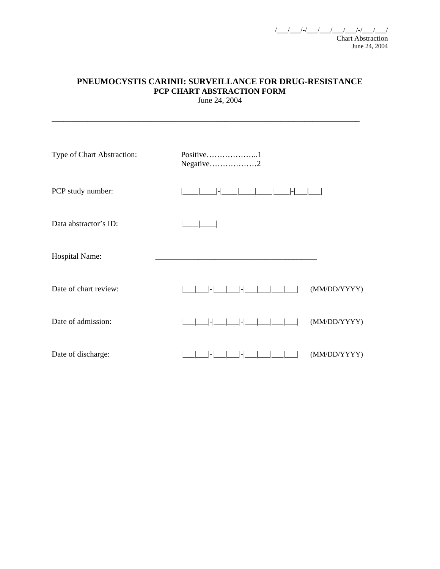/\_\_\_/\_\_\_/-/\_\_\_/\_\_\_/\_\_\_/\_\_\_/-/\_\_\_/\_\_\_/ Chart Abstraction June 24, 2004

# **PNEUMOCYSTIS CARINII: SURVEILLANCE FOR DRUG-RESISTANCE PCP CHART ABSTRACTION FORM**

June 24, 2004

\_\_\_\_\_\_\_\_\_\_\_\_\_\_\_\_\_\_\_\_\_\_\_\_\_\_\_\_\_\_\_\_\_\_\_\_\_\_\_\_\_\_\_\_\_\_\_\_\_\_\_\_\_\_\_\_\_\_\_\_\_\_\_\_\_\_\_\_\_\_\_\_\_\_\_\_\_\_

| Type of Chart Abstraction: | Positive1<br>Negative2 |
|----------------------------|------------------------|
| PCP study number:          | $\vert - \vert$        |
| Data abstractor's ID:      |                        |
| Hospital Name:             |                        |
| Date of chart review:      | (MM/DD/YYYY)           |
| Date of admission:         | (MM/DD/YYYY)<br>I-l    |
| Date of discharge:         | (MM/DD/YYYY)           |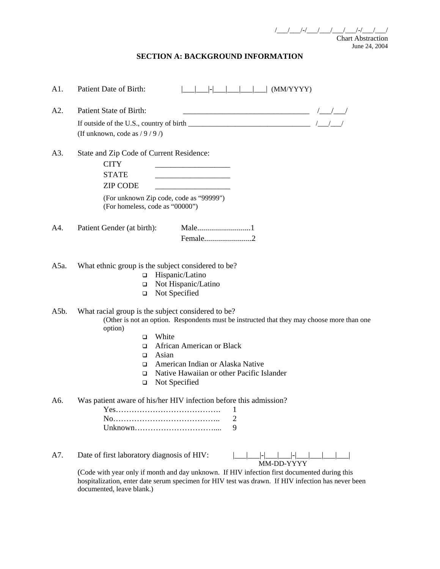$\frac{1}{2}$  /  $\frac{1}{2}$  /  $\frac{1}{2}$  /  $\frac{1}{2}$  /  $\frac{1}{2}$  /  $\frac{1}{2}$  /  $\frac{1}{2}$  /  $\frac{1}{2}$  /  $\frac{1}{2}$  /  $\frac{1}{2}$  /  $\frac{1}{2}$  /  $\frac{1}{2}$  /  $\frac{1}{2}$  /  $\frac{1}{2}$  /  $\frac{1}{2}$  /  $\frac{1}{2}$  /  $\frac{1}{2}$  /  $\frac{1}{2}$  /  $\frac{1$ 

Chart Abstraction June 24, 2004

#### **SECTION A: BACKGROUND INFORMATION**

| A1.  | Patient Date of Birth:<br>$\boxed{\quad}$ (MM/YYYY)                                                                                                                                                                                                                                                                                                  |
|------|------------------------------------------------------------------------------------------------------------------------------------------------------------------------------------------------------------------------------------------------------------------------------------------------------------------------------------------------------|
| A2.  | Patient State of Birth:                                                                                                                                                                                                                                                                                                                              |
|      |                                                                                                                                                                                                                                                                                                                                                      |
|      | (If unknown, code as $/9/9$ /)                                                                                                                                                                                                                                                                                                                       |
| A3.  | State and Zip Code of Current Residence:<br><b>CITY</b><br><b>STATE</b><br><u> 1989 - Johann John Harry Harry Harry Harry Harry Harry Harry Harry Harry Harry Harry Harry Harry Harry Harry</u><br><b>ZIP CODE</b><br><u> 1989 - Johann Barbara, martin din shekara 1980</u>                                                                         |
|      | (For unknown Zip code, code as "99999")<br>(For homeless, code as "00000")                                                                                                                                                                                                                                                                           |
| A4.  | Patient Gender (at birth):                                                                                                                                                                                                                                                                                                                           |
|      |                                                                                                                                                                                                                                                                                                                                                      |
| A5a. | What ethnic group is the subject considered to be?<br>Hispanic/Latino<br>$\Box$<br>Not Hispanic/Latino<br>$\Box$<br>Not Specified<br>$\Box$                                                                                                                                                                                                          |
| A5b. | What racial group is the subject considered to be?<br>(Other is not an option. Respondents must be instructed that they may choose more than one<br>option)<br>White<br>$\Box$<br>African American or Black<br>□<br>Asian<br>□<br>American Indian or Alaska Native<br>◻<br>Native Hawaiian or other Pacific Islander<br>□<br>Not Specified<br>$\Box$ |
| A6.  | Was patient aware of his/her HIV infection before this admission?<br>1<br>2<br>9                                                                                                                                                                                                                                                                     |
| A7.  | Date of first laboratory diagnosis of HIV:<br>MM-DD-YYYY                                                                                                                                                                                                                                                                                             |
|      | (Code with year only if month and day unknown. If HIV infection first documented during this                                                                                                                                                                                                                                                         |

 hospitalization, enter date serum specimen for HIV test was drawn. If HIV infection has never been documented, leave blank.)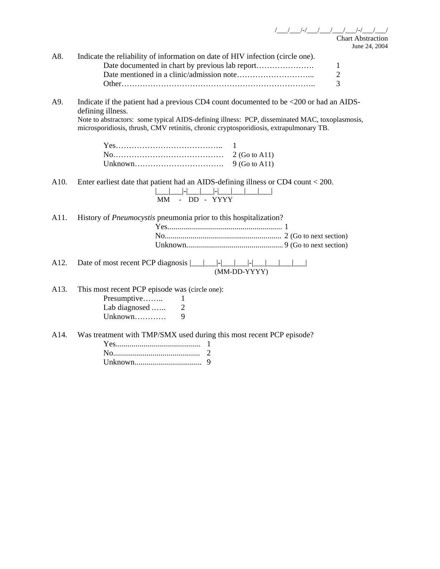/\_\_\_\_/\_\_\_/\_\_\_\_/\_\_\_\_/\_\_\_\_/\_\_\_\_/\_\_\_\_/ Chart Abstraction June 24, 2004

| A8. | Indicate the reliability of information on date of HIV infection (circle one). |     |
|-----|--------------------------------------------------------------------------------|-----|
|     |                                                                                | - 1 |
|     |                                                                                | 2   |
|     |                                                                                | 3   |
|     |                                                                                |     |

A9. Indicate if the patient had a previous CD4 count documented to be <200 or had an AIDSdefining illness. Note to abstractors: some typical AIDS-defining illness: PCP, disseminated MAC, toxoplasmosis, microsporidiosis, thrush, CMV retinitis, chronic cryptosporidiosis, extrapulmonary TB.

A10. Enter earliest date that patient had an AIDS-defining illness or CD4 count < 200. |\_\_\_|\_\_\_|-|\_\_\_|\_\_\_|-|\_\_\_|\_\_\_|\_\_\_|\_\_\_|

| .                              | .<br>.                         | <br>--      |
|--------------------------------|--------------------------------|-------------|
| MM<br>$\overline{\phantom{0}}$ | DD<br>$\overline{\phantom{0}}$ | <b>YYYY</b> |
|                                |                                |             |

A11. History of *Pneumocystis* pneumonia prior to this hospitalization?

A12. Date of most recent PCP diagnosis |\_\_\_|\_\_\_|-|\_\_\_|\_\_\_|-|\_\_\_|\_\_\_|\_\_\_|\_\_\_| (MM-DD-YYYY)

A13. This most recent PCP episode was (circle one):

| Presumptive   |    |
|---------------|----|
| Lab diagnosed |    |
| Unknown       | 9. |

A14. Was treatment with TMP/SMX used during this most recent PCP episode?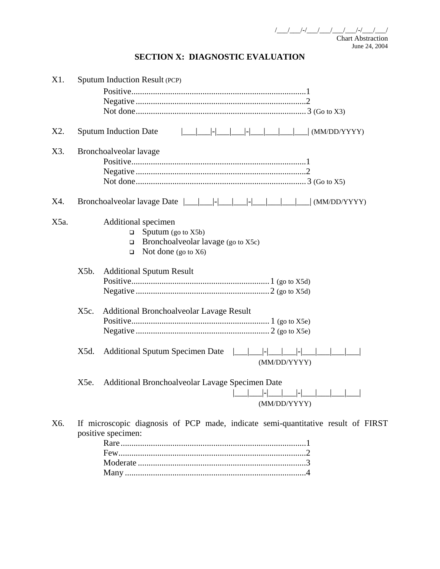/\_\_\_/\_\_\_/-/\_\_\_/\_\_\_/\_\_\_/\_\_\_/-/\_\_\_/\_\_\_/ Chart Abstraction

June 24, 2004

# **SECTION X: DIAGNOSTIC EVALUATION**

| X1.  |      | Sputum Induction Result (PCP)                                                                                                            |
|------|------|------------------------------------------------------------------------------------------------------------------------------------------|
| X2.  |      | <b>Sputum Induction Date</b><br>$\Box$ (MM/DD/YYYY)                                                                                      |
| X3.  |      | Bronchoalveolar lavage                                                                                                                   |
| X4.  |      |                                                                                                                                          |
| X5a. |      | Additional specimen<br>Sputum (go to X5b)<br>$\Box$<br>Bronchoalveolar lavage (go to X5c)<br>$\Box$<br>Not done (go to $X_6$ )<br>$\Box$ |
|      | X5b. | <b>Additional Sputum Result</b>                                                                                                          |
|      | X5c. | <b>Additional Bronchoalveolar Lavage Result</b>                                                                                          |
|      | X5d. | <b>Additional Sputum Specimen Date</b><br>(MM/DD/YYYY)                                                                                   |
|      | X5e. | Additional Bronchoalveolar Lavage Specimen Date<br>╟<br>(MM/DD/YYYY)                                                                     |
| X6.  |      | If microscopic diagnosis of PCP made, indicate semi-quantitative result of FIRST<br>positive specimen:                                   |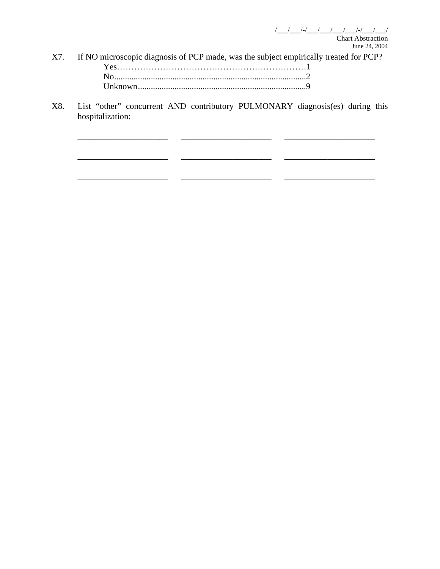- X7. If NO microscopic diagnosis of PCP made, was the subject empirically treated for PCP? Yes…………………………………………………………1 No.........................................................................................2 Unknown..............................................................................9
- X8. List "other" concurrent AND contributory PULMONARY diagnosis(es) during this hospitalization:

\_\_\_\_\_\_\_\_\_\_\_\_\_\_\_\_\_\_\_\_\_ \_\_\_\_\_\_\_\_\_\_\_\_\_\_\_\_\_\_\_\_\_ \_\_\_\_\_\_\_\_\_\_\_\_\_\_\_\_\_\_\_\_\_

\_\_\_\_\_\_\_\_\_\_\_\_\_\_\_\_\_\_\_\_\_ \_\_\_\_\_\_\_\_\_\_\_\_\_\_\_\_\_\_\_\_\_ \_\_\_\_\_\_\_\_\_\_\_\_\_\_\_\_\_\_\_\_\_

\_\_\_\_\_\_\_\_\_\_\_\_\_\_\_\_\_\_\_\_\_ \_\_\_\_\_\_\_\_\_\_\_\_\_\_\_\_\_\_\_\_\_ \_\_\_\_\_\_\_\_\_\_\_\_\_\_\_\_\_\_\_\_\_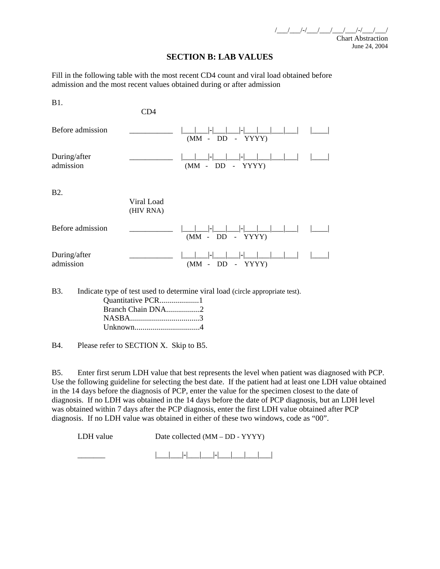/\_\_\_/\_\_\_/-/\_\_\_/\_\_\_/\_\_\_/\_\_\_/-/\_\_\_/\_\_\_/ Chart Abstraction June 24, 2004

#### **SECTION B: LAB VALUES**

Fill in the following table with the most recent CD4 count and viral load obtained before admission and the most recent values obtained during or after admission

| <b>B1.</b>                | CD4                     |                                                |  |
|---------------------------|-------------------------|------------------------------------------------|--|
| Before admission          |                         | $(MM - DD - YYYY)$                             |  |
| During/after<br>admission |                         | $\overline{\phantom{0}}$<br>$(MM - DD - YYYY)$ |  |
| <b>B2.</b>                | Viral Load<br>(HIV RNA) |                                                |  |
| Before admission          |                         | ۰<br>$(MM - DD - YYYY)$                        |  |
| During/after<br>admission |                         | $(MM - DD - YYYY)$                             |  |

B3. Indicate type of test used to determine viral load (circle appropriate test). Quantitative PCR....................1 Branch Chain DNA.................2 NASBA...................................3

B4. Please refer to SECTION X. Skip to B5.

Unknown.................................4

B5. Enter first serum LDH value that best represents the level when patient was diagnosed with PCP. Use the following guideline for selecting the best date. If the patient had at least one LDH value obtained in the 14 days before the diagnosis of PCP, enter the value for the specimen closest to the date of diagnosis. If no LDH was obtained in the 14 days before the date of PCP diagnosis, but an LDH level was obtained within 7 days after the PCP diagnosis, enter the first LDH value obtained after PCP diagnosis. If no LDH value was obtained in either of these two windows, code as "00".

LDH value Date collected (MM – DD - YYYY)

 $|\_\_$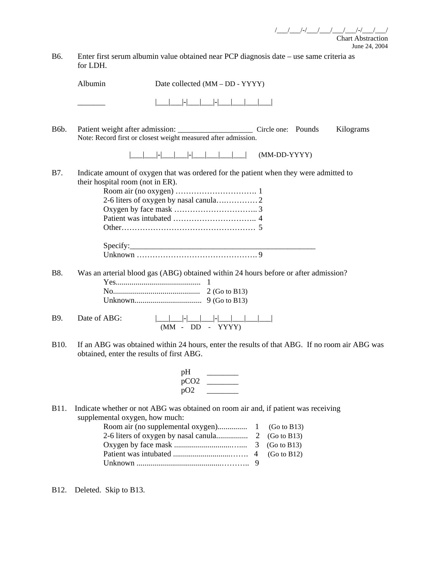/\_\_\_/\_\_\_/-/\_\_\_/\_\_\_/\_\_\_/\_\_\_/\_\_/\_\_\_/\_\_ Chart Abstraction June 24, 2004

| B6. | Enter first serum albumin value obtained near PCP diagnosis date – use same criteria as |
|-----|-----------------------------------------------------------------------------------------|
|     | for LDH.                                                                                |

|             | Albumin                                   | Date collected (MM - DD - YYYY)                                                                                                                                                                                                                                                                                                                                                                                                                                            |
|-------------|-------------------------------------------|----------------------------------------------------------------------------------------------------------------------------------------------------------------------------------------------------------------------------------------------------------------------------------------------------------------------------------------------------------------------------------------------------------------------------------------------------------------------------|
|             |                                           |                                                                                                                                                                                                                                                                                                                                                                                                                                                                            |
| B6b.        |                                           | Kilograms<br>Note: Record first or closest weight measured after admission.                                                                                                                                                                                                                                                                                                                                                                                                |
|             |                                           | (MM-DD-YYYY)                                                                                                                                                                                                                                                                                                                                                                                                                                                               |
| <b>B7.</b>  | their hospital room (not in ER).          | Indicate amount of oxygen that was ordered for the patient when they were admitted to                                                                                                                                                                                                                                                                                                                                                                                      |
|             |                                           | Specify:                                                                                                                                                                                                                                                                                                                                                                                                                                                                   |
| <b>B8.</b>  |                                           | Was an arterial blood gas (ABG) obtained within 24 hours before or after admission?                                                                                                                                                                                                                                                                                                                                                                                        |
| B9.         | Date of ABG:                              | $ \hspace{-.06cm} \hspace{-.06cm} \hspace{-.06cm} \hspace{-.06cm} \hspace{-.06cm} \hspace{-.06cm} \hspace{-.06cm} \hspace{-.06cm} \hspace{-.06cm} \hspace{-.06cm} \hspace{-.06cm} \hspace{-.06cm} \hspace{-.06cm} \hspace{-.06cm} \hspace{-.06cm} \hspace{-.06cm} \hspace{-.06cm} \hspace{-.06cm} \hspace{-.06cm} \hspace{-.06cm} \hspace{-.06cm} \hspace{-.06cm} \hspace{-.06cm} \hspace{-.06cm} \hspace{$<br>$(MM - DD - YYYY)$                                          |
| B10.        | obtained, enter the results of first ABG. | If an ABG was obtained within 24 hours, enter the results of that ABG. If no room air ABG was                                                                                                                                                                                                                                                                                                                                                                              |
|             |                                           | pH<br>$\begin{tabular}{ccccc} \multicolumn{2}{c }{\textbf{1} & \multicolumn{2}{c }{\textbf{2} & \multicolumn{2}{c }{\textbf{3} & \multicolumn{2}{c }{\textbf{4} & \multicolumn{2}{c }{\textbf{5} & \multicolumn{2}{c }{\textbf{6} & \multicolumn{2}{c }{\textbf{6} & \multicolumn{2}{c }{\textbf{6} & \multicolumn{2}{c }{\textbf{6} & \multicolumn{2}{c }{\textbf{6} & \multicolumn{2}{c }{\textbf{6} & \multicolumn{2}{c }{\textbf{6} & \multicolumn{2}{$<br>pCO2<br>pO2 |
| <b>B11.</b> | supplemental oxygen, how much:            | Indicate whether or not ABG was obtained on room air and, if patient was receiving<br>(Go to B13)<br>(Go to B13)                                                                                                                                                                                                                                                                                                                                                           |

B12. Deleted. Skip to B13.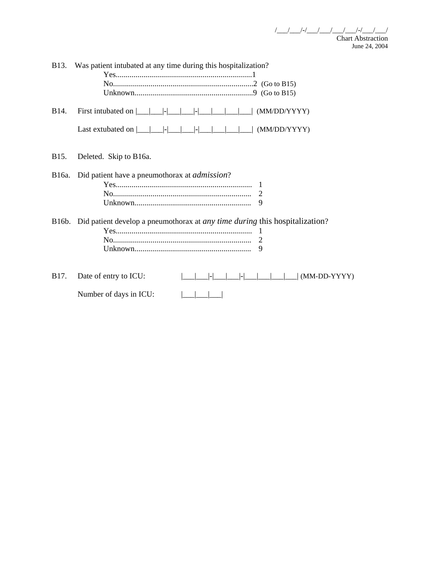/\_\_\_/\_\_\_/-/\_\_\_/\_\_\_/\_\_\_/\_\_\_/\_\_/\_\_\_/\_\_ Chart Abstraction June 24, 2004

| B13.              | Was patient intubated at any time during this hospitalization?                                |
|-------------------|-----------------------------------------------------------------------------------------------|
|                   |                                                                                               |
| B14.              |                                                                                               |
|                   |                                                                                               |
| B <sub>15</sub> . | Deleted. Skip to B16a.                                                                        |
|                   | B16a. Did patient have a pneumothorax at <i>admission</i> ?<br>-1<br>9                        |
|                   | B16b. Did patient develop a pneumothorax at <i>any time during</i> this hospitalization?<br>9 |
| B17.              | Date of entry to ICU:                                                                         |
|                   | Number of days in ICU:                                                                        |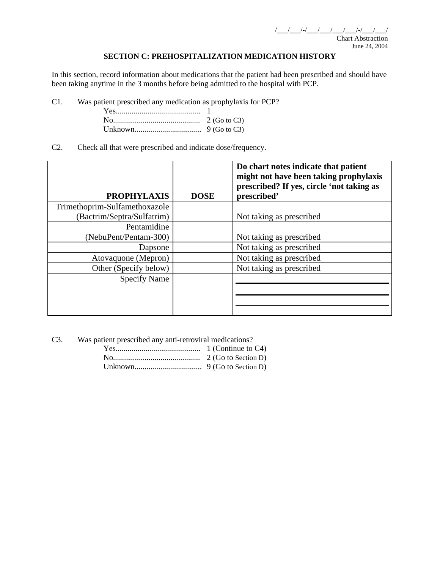/\_\_\_/\_\_\_/-/\_\_\_/\_\_\_/\_\_\_/\_\_\_/-/\_\_\_/\_\_\_/ Chart Abstraction June 24, 2004

### **SECTION C: PREHOSPITALIZATION MEDICATION HISTORY**

In this section, record information about medications that the patient had been prescribed and should have been taking anytime in the 3 months before being admitted to the hospital with PCP.

C1. Was patient prescribed any medication as prophylaxis for PCP?

C2. Check all that were prescribed and indicate dose/frequency.

| <b>PROPHYLAXIS</b>            | <b>DOSE</b> | Do chart notes indicate that patient<br>might not have been taking prophylaxis<br>prescribed? If yes, circle 'not taking as<br>prescribed' |
|-------------------------------|-------------|--------------------------------------------------------------------------------------------------------------------------------------------|
| Trimethoprim-Sulfamethoxazole |             |                                                                                                                                            |
| (Bactrim/Septra/Sulfatrim)    |             | Not taking as prescribed                                                                                                                   |
| Pentamidine                   |             |                                                                                                                                            |
| (NebuPent/Pentam-300)         |             | Not taking as prescribed                                                                                                                   |
| Dapsone                       |             | Not taking as prescribed                                                                                                                   |
| Atovaquone (Mepron)           |             | Not taking as prescribed                                                                                                                   |
| Other (Specify below)         |             | Not taking as prescribed                                                                                                                   |
| <b>Specify Name</b>           |             |                                                                                                                                            |
|                               |             |                                                                                                                                            |
|                               |             |                                                                                                                                            |
|                               |             |                                                                                                                                            |

C3. Was patient prescribed any anti-retroviral medications?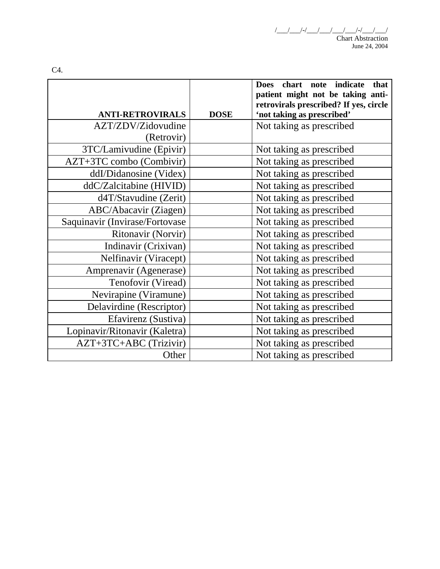|                                |             | chart note indicate<br>that<br><b>Does</b><br>patient might not be taking anti-<br>retrovirals prescribed? If yes, circle |
|--------------------------------|-------------|---------------------------------------------------------------------------------------------------------------------------|
| <b>ANTI-RETROVIRALS</b>        | <b>DOSE</b> | 'not taking as prescribed'                                                                                                |
| AZT/ZDV/Zidovudine             |             | Not taking as prescribed                                                                                                  |
| (Retrovir)                     |             |                                                                                                                           |
| 3TC/Lamivudine (Epivir)        |             | Not taking as prescribed                                                                                                  |
| AZT+3TC combo (Combivir)       |             | Not taking as prescribed                                                                                                  |
| ddI/Didanosine (Videx)         |             | Not taking as prescribed                                                                                                  |
| ddC/Zalcitabine (HIVID)        |             | Not taking as prescribed                                                                                                  |
| d4T/Stavudine (Zerit)          |             | Not taking as prescribed                                                                                                  |
| ABC/Abacavir (Ziagen)          |             | Not taking as prescribed                                                                                                  |
| Saquinavir (Invirase/Fortovase |             | Not taking as prescribed                                                                                                  |
| Ritonavir (Norvir)             |             | Not taking as prescribed                                                                                                  |
| Indinavir (Crixivan)           |             | Not taking as prescribed                                                                                                  |
| Nelfinavir (Viracept)          |             | Not taking as prescribed                                                                                                  |
| Amprenavir (Agenerase)         |             | Not taking as prescribed                                                                                                  |
| Tenofovir (Viread)             |             | Not taking as prescribed                                                                                                  |
| Nevirapine (Viramune)          |             | Not taking as prescribed                                                                                                  |
| Delavirdine (Rescriptor)       |             | Not taking as prescribed                                                                                                  |
| Efavirenz (Sustiva)            |             | Not taking as prescribed                                                                                                  |
| Lopinavir/Ritonavir (Kaletra)  |             | Not taking as prescribed                                                                                                  |
| AZT+3TC+ABC (Trizivir)         |             | Not taking as prescribed                                                                                                  |
| Other                          |             | Not taking as prescribed                                                                                                  |

C4.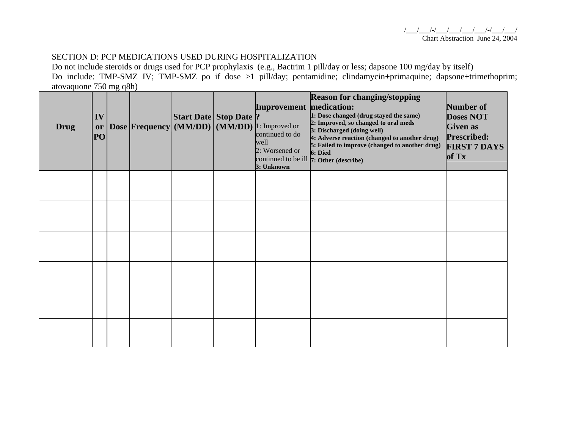## SECTION D: PCP MEDICATIONS USED DURING HOSPITALIZATION

Do not include steroids or drugs used for PCP prophylaxis (e.g., Bactrim 1 pill/day or less; dapsone 100 mg/day by itself) Do include: TMP-SMZ IV; TMP-SMZ po if dose >1 pill/day; pentamidine; clindamycin+primaquine; dapsone+trimethoprim; atovaquone 750 mg q8h)

| <b>Drug</b> | IV<br><b>or</b><br>PO |  | <b>Start Date Stop Date ?</b> | Improvement medication:<br>Dose Frequency (MM/DD) (MM/DD) 1: Improved or<br>continued to do<br>well<br>2: Worsened or<br>continued to be ill 7: Other (describe)<br>3: Unknown | <b>Reason for changing/stopping</b><br>1: Dose changed (drug stayed the same)<br>2: Improved, so changed to oral meds<br>3: Discharged (doing well)<br>4: Adverse reaction (changed to another drug)<br>5: Failed to improve (changed to another drug)<br>6: Died | Number of<br><b>Doses NOT</b><br><b>Given</b> as<br>Prescribed:<br><b>FIRST 7 DAYS</b><br>of Tx |
|-------------|-----------------------|--|-------------------------------|--------------------------------------------------------------------------------------------------------------------------------------------------------------------------------|-------------------------------------------------------------------------------------------------------------------------------------------------------------------------------------------------------------------------------------------------------------------|-------------------------------------------------------------------------------------------------|
|             |                       |  |                               |                                                                                                                                                                                |                                                                                                                                                                                                                                                                   |                                                                                                 |
|             |                       |  |                               |                                                                                                                                                                                |                                                                                                                                                                                                                                                                   |                                                                                                 |
|             |                       |  |                               |                                                                                                                                                                                |                                                                                                                                                                                                                                                                   |                                                                                                 |
|             |                       |  |                               |                                                                                                                                                                                |                                                                                                                                                                                                                                                                   |                                                                                                 |
|             |                       |  |                               |                                                                                                                                                                                |                                                                                                                                                                                                                                                                   |                                                                                                 |
|             |                       |  |                               |                                                                                                                                                                                |                                                                                                                                                                                                                                                                   |                                                                                                 |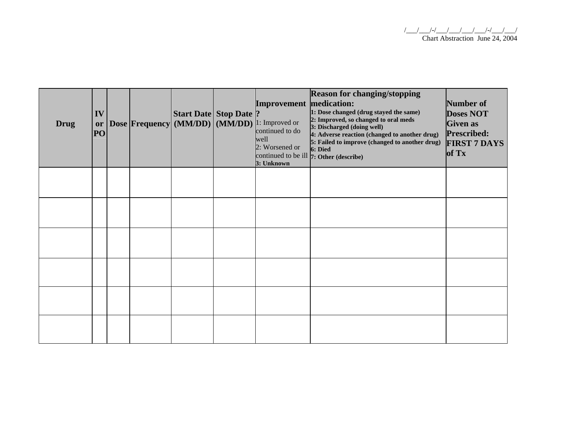| <b>Drug</b> | IV<br>or<br>PO |  | Dose Frequency (MM/DD) (MM/DD) | <b>Start Date   Stop Date  ?</b> | Improvement medication:<br>1: Improved or<br>continued to do<br>well<br>2: Worsened or<br>3: Unknown | <b>Reason for changing/stopping</b><br>1: Dose changed (drug stayed the same)<br>2: Improved, so changed to oral meds<br>3: Discharged (doing well)<br>4: Adverse reaction (changed to another drug)<br>5: Failed to improve (changed to another drug)<br>6: Died<br>continued to be ill 7: Other (describe) | Number of<br><b>Doses NOT</b><br><b>Given</b> as<br><b>Prescribed:</b><br><b>FIRST 7 DAYS</b><br>of Tx |
|-------------|----------------|--|--------------------------------|----------------------------------|------------------------------------------------------------------------------------------------------|--------------------------------------------------------------------------------------------------------------------------------------------------------------------------------------------------------------------------------------------------------------------------------------------------------------|--------------------------------------------------------------------------------------------------------|
|             |                |  |                                |                                  |                                                                                                      |                                                                                                                                                                                                                                                                                                              |                                                                                                        |
|             |                |  |                                |                                  |                                                                                                      |                                                                                                                                                                                                                                                                                                              |                                                                                                        |
|             |                |  |                                |                                  |                                                                                                      |                                                                                                                                                                                                                                                                                                              |                                                                                                        |
|             |                |  |                                |                                  |                                                                                                      |                                                                                                                                                                                                                                                                                                              |                                                                                                        |
|             |                |  |                                |                                  |                                                                                                      |                                                                                                                                                                                                                                                                                                              |                                                                                                        |
|             |                |  |                                |                                  |                                                                                                      |                                                                                                                                                                                                                                                                                                              |                                                                                                        |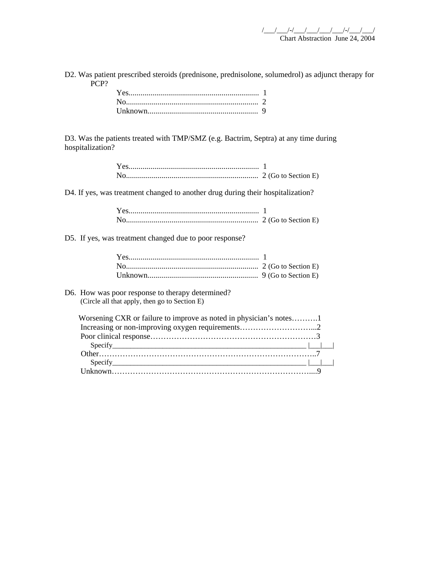D2. Was patient prescribed steroids (prednisone, prednisolone, solumedrol) as adjunct therapy for PCP?

D3. Was the patients treated with TMP/SMZ (e.g. Bactrim, Septra) at any time during hospitalization?

D4. If yes, was treatment changed to another drug during their hospitalization?

D5. If yes, was treatment changed due to poor response?

D6. How was poor response to therapy determined? (Circle all that apply, then go to Section E)

| Worsening CXR or failure to improve as noted in physician's notes1 |  |
|--------------------------------------------------------------------|--|
|                                                                    |  |
|                                                                    |  |
|                                                                    |  |
|                                                                    |  |
| Specify                                                            |  |
|                                                                    |  |